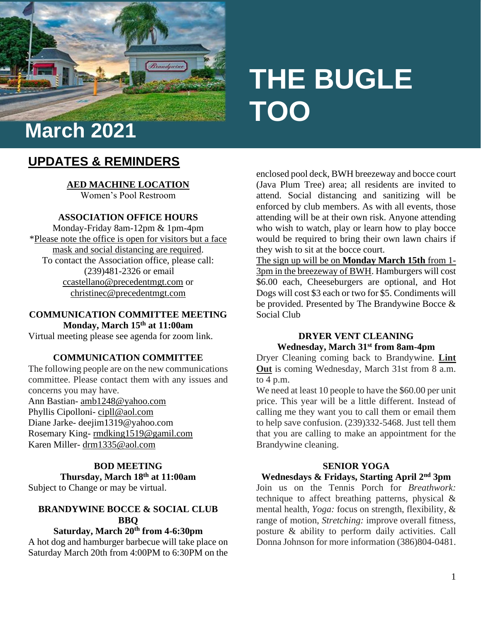

# **THE BUGLE TOO**

# **UPDATES & REMINDERS**

**AED MACHINE LOCATION**

Women's Pool Restroom

#### **ASSOCIATION OFFICE HOURS**

Monday-Friday 8am-12pm & 1pm-4pm \*Please note the office is open for visitors but a face mask and social distancing are required. To contact the Association office, please call: (239)481-2326 or email [ccastellano@precedentmgt.com](mailto:ccastellano@precedentmgt.com) or christinec@precedentmgt.com

## **COMMUNICATION COMMITTEE MEETING Monday, March 15th at 11:00am**

Virtual meeting please see agenda for zoom link.

#### **COMMUNICATION COMMITTEE**

The following people are on the new communications committee. Please contact them with any issues and concerns you may have. Ann Bastian- [amb1248@yahoo.com](mailto:amb1248@yahoo.com) Phyllis Cipolloni- [cipll@aol.com](mailto:cipll@aol.com) Diane Jarke- deejim1319@yahoo.com Rosemary King- [rmdking1519@gamil.com](mailto:rmdking1519@gamil.com) Karen Miller- [drm1335@aol.com](mailto:drm1335@aol.com)

#### **BOD MEETING Thursday, March 18th at 11:00am**

Subject to Change or may be virtual.

#### **BRANDYWINE BOCCE & SOCIAL CLUB BBQ**

#### **Saturday, March 20th from 4-6:30pm**

A hot dog and hamburger barbecue will take place on Saturday March 20th from 4:00PM to 6:30PM on the

enclosed pool deck, BWH breezeway and bocce court (Java Plum Tree) area; all residents are invited to attend. Social distancing and sanitizing will be enforced by club members. As with all events, those attending will be at their own risk. Anyone attending who wish to watch, play or learn how to play bocce would be required to bring their own lawn chairs if they wish to sit at the bocce court.

The sign up will be on **Monday March 15th** from 1- 3pm in the breezeway of BWH. Hamburgers will cost \$6.00 each, Cheeseburgers are optional, and Hot Dogs will cost \$3 each or two for \$5. Condiments will be provided. Presented by The Brandywine Bocce & Social Club

#### **DRYER VENT CLEANING Wednesday, March 31st from 8am-4pm**

Dryer Cleaning coming back to Brandywine. **Lint Out** is coming Wednesday, March 31st from 8 a.m. to 4 p.m.

We need at least 10 people to have the \$60.00 per unit price. This year will be a little different. Instead of calling me they want you to call them or email them to help save confusion. (239)332-5468. Just tell them that you are calling to make an appointment for the Brandywine cleaning.

#### **SENIOR YOGA**

#### **Wednesdays & Fridays, Starting April 2nd 3pm**

Join us on the Tennis Porch for *Breathwork:* technique to affect breathing patterns, physical & mental health, *Yoga:* focus on strength, flexibility, & range of motion, *Stretching:* improve overall fitness, posture & ability to perform daily activities. Call Donna Johnson for more information (386)804-0481.